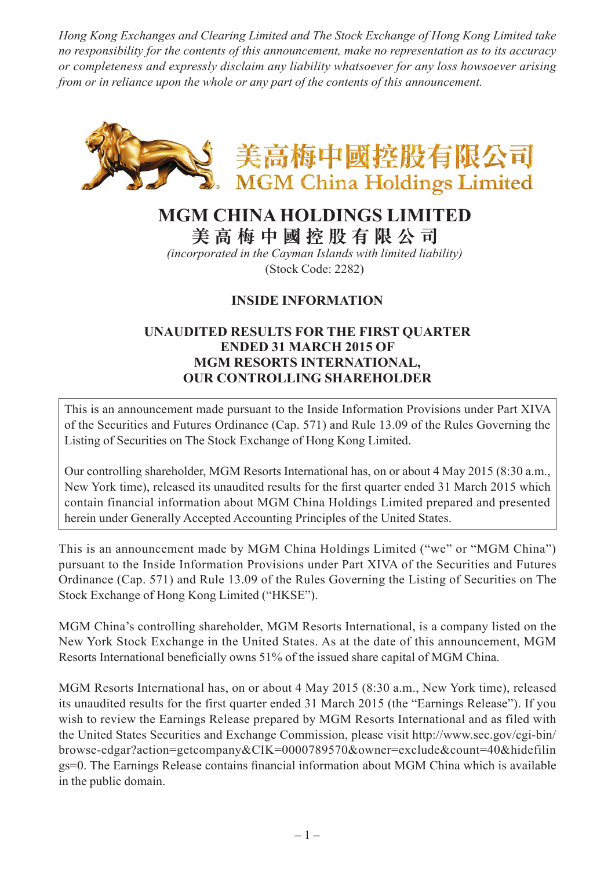*Hong Kong Exchanges and Clearing Limited and The Stock Exchange of Hong Kong Limited take no responsibility for the contents of this announcement, make no representation as to its accuracy or completeness and expressly disclaim any liability whatsoever for any loss howsoever arising from or in reliance upon the whole or any part of the contents of this announcement.*



# **MGM CHINA HOLDINGS LIMITED**

**美 高 梅 中 國 控 股 有 限 公 司**

*(incorporated in the Cayman Islands with limited liability)* (Stock Code: 2282)

# **INSIDE INFORMATION**

### **UNAUDITED RESULTS FOR THE FIRST QUARTER ENDED 31 MARCH 2015 OF MGM RESORTS INTERNATIONAL, OUR CONTROLLING SHAREHOLDER**

This is an announcement made pursuant to the Inside Information Provisions under Part XIVA of the Securities and Futures Ordinance (Cap. 571) and Rule 13.09 of the Rules Governing the Listing of Securities on The Stock Exchange of Hong Kong Limited.

Our controlling shareholder, MGM Resorts International has, on or about 4 May 2015 (8:30 a.m., New York time), released its unaudited results for the first quarter ended 31 March 2015 which contain financial information about MGM China Holdings Limited prepared and presented herein under Generally Accepted Accounting Principles of the United States.

This is an announcement made by MGM China Holdings Limited ("we" or "MGM China") pursuant to the Inside Information Provisions under Part XIVA of the Securities and Futures Ordinance (Cap. 571) and Rule 13.09 of the Rules Governing the Listing of Securities on The Stock Exchange of Hong Kong Limited ("HKSE").

MGM China's controlling shareholder, MGM Resorts International, is a company listed on the New York Stock Exchange in the United States. As at the date of this announcement, MGM Resorts International beneficially owns 51% of the issued share capital of MGM China.

MGM Resorts International has, on or about 4 May 2015 (8:30 a.m., New York time), released its unaudited results for the first quarter ended 31 March 2015 (the "Earnings Release"). If you wish to review the Earnings Release prepared by MGM Resorts International and as filed with the United States Securities and Exchange Commission, please visit http://www.sec.gov/cgi-bin/ browse-edgar?action=getcompany&CIK=0000789570&owner=exclude&count=40&hidefilin gs=0. The Earnings Release contains financial information about MGM China which is available in the public domain.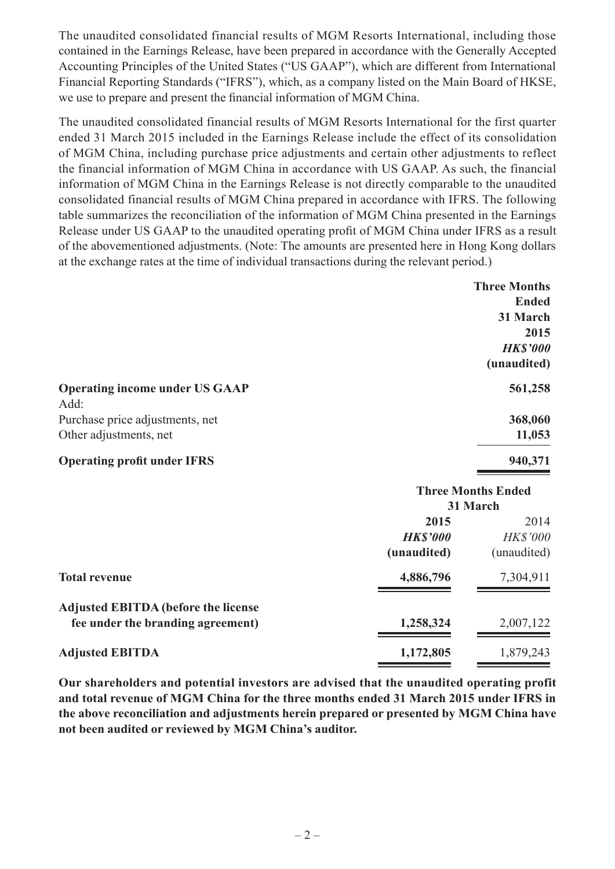The unaudited consolidated financial results of MGM Resorts International, including those contained in the Earnings Release, have been prepared in accordance with the Generally Accepted Accounting Principles of the United States ("US GAAP"), which are different from International Financial Reporting Standards ("IFRS"), which, as a company listed on the Main Board of HKSE, we use to prepare and present the financial information of MGM China.

The unaudited consolidated financial results of MGM Resorts International for the first quarter ended 31 March 2015 included in the Earnings Release include the effect of its consolidation of MGM China, including purchase price adjustments and certain other adjustments to reflect the financial information of MGM China in accordance with US GAAP. As such, the financial information of MGM China in the Earnings Release is not directly comparable to the unaudited consolidated financial results of MGM China prepared in accordance with IFRS. The following table summarizes the reconciliation of the information of MGM China presented in the Earnings Release under US GAAP to the unaudited operating profit of MGM China under IFRS as a result of the abovementioned adjustments. (Note: The amounts are presented here in Hong Kong dollars at the exchange rates at the time of individual transactions during the relevant period.)

|                                       | <b>Three Months</b> |
|---------------------------------------|---------------------|
|                                       | <b>Ended</b>        |
|                                       | 31 March            |
|                                       | 2015                |
|                                       | <b>HK\$'000</b>     |
|                                       | (unaudited)         |
| <b>Operating income under US GAAP</b> | 561,258             |
| Add:                                  |                     |
| Purchase price adjustments, net       | 368,060             |
| Other adjustments, net                | 11,053              |
| <b>Operating profit under IFRS</b>    | 940,371             |

|                                             | <b>Three Months Ended</b> |                 |
|---------------------------------------------|---------------------------|-----------------|
|                                             | 31 March                  |                 |
|                                             | 2015                      | 2014            |
|                                             | <b>HK\$'000</b>           | <b>HK\$'000</b> |
|                                             | (unaudited)               | (unaudited)     |
| <b>Total revenue</b>                        | 4,886,796                 | 7,304,911       |
| <b>Adjusted EBITDA (before the license)</b> |                           |                 |
| fee under the branding agreement)           | 1,258,324                 | 2,007,122       |
| <b>Adjusted EBITDA</b>                      | 1,172,805                 | 1,879,243       |

**Our shareholders and potential investors are advised that the unaudited operating profit and total revenue of MGM China for the three months ended 31 March 2015 under IFRS in the above reconciliation and adjustments herein prepared or presented by MGM China have not been audited or reviewed by MGM China's auditor.**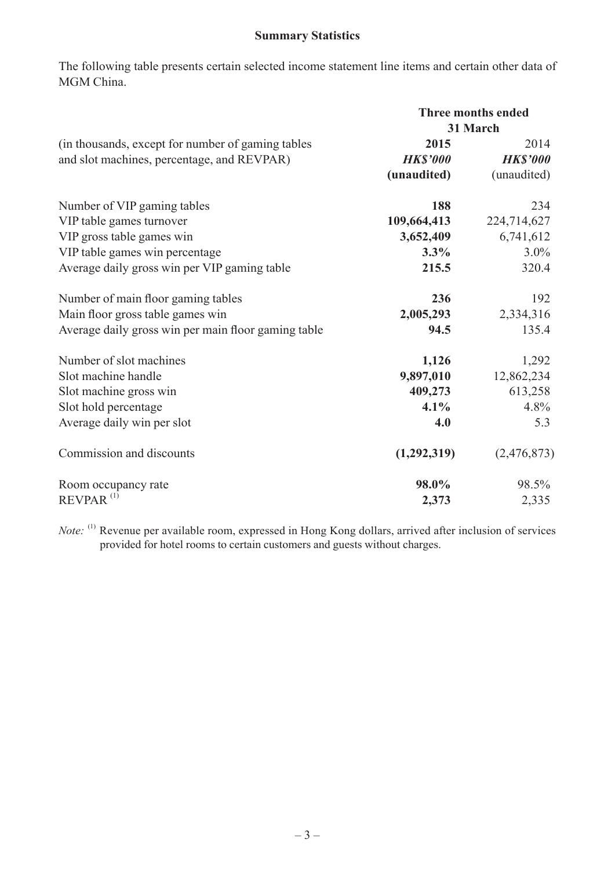# **Summary Statistics**

The following table presents certain selected income statement line items and certain other data of MGM China.

|                                                     | <b>Three months ended</b><br>31 March |                 |
|-----------------------------------------------------|---------------------------------------|-----------------|
|                                                     |                                       |                 |
| (in thousands, except for number of gaming tables)  | 2015                                  | 2014            |
| and slot machines, percentage, and REVPAR)          | <b>HK\$'000</b>                       | <b>HK\$'000</b> |
|                                                     | (unaudited)                           | (unaudited)     |
| Number of VIP gaming tables                         | 188                                   | 234             |
| VIP table games turnover                            | 109,664,413                           | 224,714,627     |
| VIP gross table games win                           | 3,652,409                             | 6,741,612       |
| VIP table games win percentage                      | $3.3\%$                               | $3.0\%$         |
| Average daily gross win per VIP gaming table        | 215.5                                 | 320.4           |
| Number of main floor gaming tables                  | 236                                   | 192             |
| Main floor gross table games win                    | 2,005,293                             | 2,334,316       |
| Average daily gross win per main floor gaming table | 94.5                                  | 135.4           |
| Number of slot machines                             | 1,126                                 | 1,292           |
| Slot machine handle                                 | 9,897,010                             | 12,862,234      |
| Slot machine gross win                              | 409,273                               | 613,258         |
| Slot hold percentage                                | $4.1\%$                               | 4.8%            |
| Average daily win per slot                          | 4.0                                   | 5.3             |
| Commission and discounts                            | (1,292,319)                           | (2,476,873)     |
| Room occupancy rate                                 | 98.0%                                 | 98.5%           |
| REVPAR <sup>(1)</sup>                               | 2,373                                 | 2,335           |

*Note:* (1) Revenue per available room, expressed in Hong Kong dollars, arrived after inclusion of services provided for hotel rooms to certain customers and guests without charges.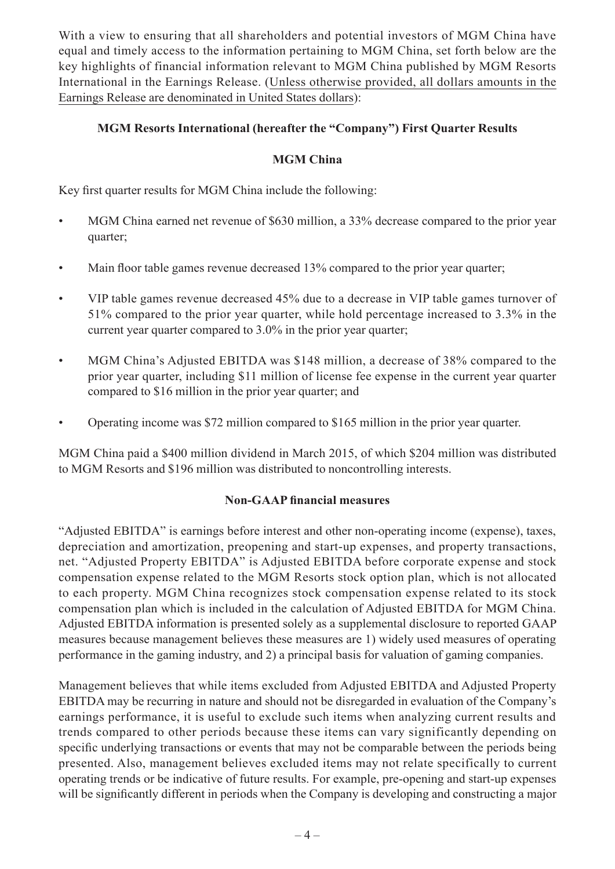With a view to ensuring that all shareholders and potential investors of MGM China have equal and timely access to the information pertaining to MGM China, set forth below are the key highlights of financial information relevant to MGM China published by MGM Resorts International in the Earnings Release. (Unless otherwise provided, all dollars amounts in the Earnings Release are denominated in United States dollars):

## **MGM Resorts International (hereafter the "Company") First Quarter Results**

### **MGM China**

Key first quarter results for MGM China include the following:

- MGM China earned net revenue of \$630 million, a 33% decrease compared to the prior year quarter;
- Main floor table games revenue decreased 13% compared to the prior year quarter;
- VIP table games revenue decreased 45% due to a decrease in VIP table games turnover of 51% compared to the prior year quarter, while hold percentage increased to 3.3% in the current year quarter compared to 3.0% in the prior year quarter;
- MGM China's Adjusted EBITDA was \$148 million, a decrease of 38% compared to the prior year quarter, including \$11 million of license fee expense in the current year quarter compared to \$16 million in the prior year quarter; and
- Operating income was \$72 million compared to \$165 million in the prior year quarter.

MGM China paid a \$400 million dividend in March 2015, of which \$204 million was distributed to MGM Resorts and \$196 million was distributed to noncontrolling interests.

#### **Non-GAAP financial measures**

"Adjusted EBITDA" is earnings before interest and other non-operating income (expense), taxes, depreciation and amortization, preopening and start-up expenses, and property transactions, net. "Adjusted Property EBITDA" is Adjusted EBITDA before corporate expense and stock compensation expense related to the MGM Resorts stock option plan, which is not allocated to each property. MGM China recognizes stock compensation expense related to its stock compensation plan which is included in the calculation of Adjusted EBITDA for MGM China. Adjusted EBITDA information is presented solely as a supplemental disclosure to reported GAAP measures because management believes these measures are 1) widely used measures of operating performance in the gaming industry, and 2) a principal basis for valuation of gaming companies.

Management believes that while items excluded from Adjusted EBITDA and Adjusted Property EBITDA may be recurring in nature and should not be disregarded in evaluation of the Company's earnings performance, it is useful to exclude such items when analyzing current results and trends compared to other periods because these items can vary significantly depending on specific underlying transactions or events that may not be comparable between the periods being presented. Also, management believes excluded items may not relate specifically to current operating trends or be indicative of future results. For example, pre-opening and start-up expenses will be significantly different in periods when the Company is developing and constructing a major